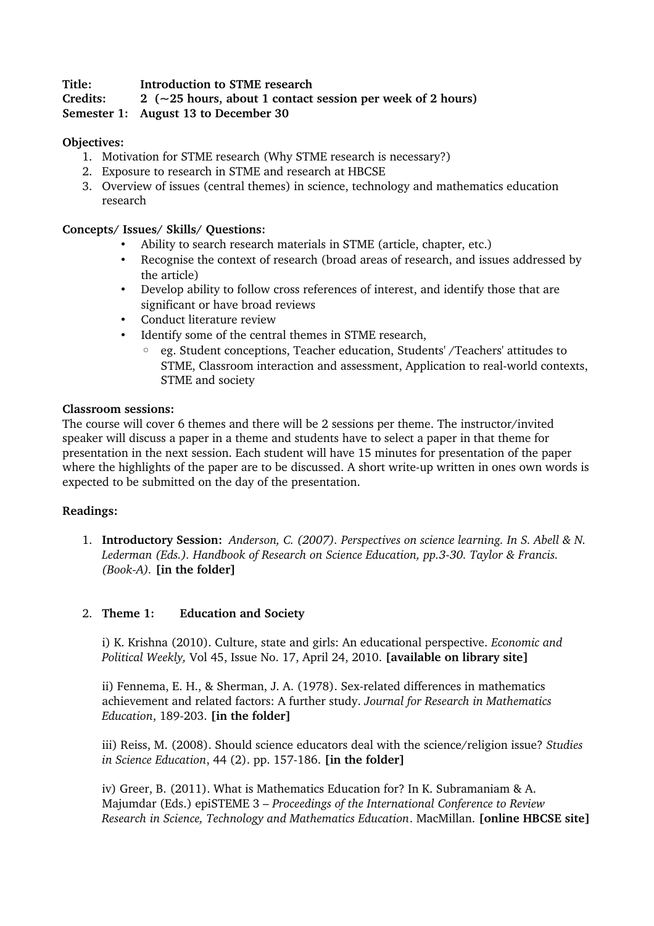## **Title: Introduction to STME research**

# **Credits: 2 (~25 hours, about 1 contact session per week of 2 hours)**

**Semester 1: August 13 to December 30**

# **Objectives:**

- 1. Motivation for STME research (Why STME research is necessary?)
- 2. Exposure to research in STME and research at HBCSE
- 3. Overview of issues (central themes) in science, technology and mathematics education research

## **Concepts/ Issues/ Skills/ Questions:**

- Ability to search research materials in STME (article, chapter, etc.)
- Recognise the context of research (broad areas of research, and issues addressed by the article)
- Develop ability to follow cross references of interest, and identify those that are significant or have broad reviews
- Conduct literature review
- Identify some of the central themes in STME research,
	- eg. Student conceptions, Teacher education, Students' /Teachers' attitudes to STME, Classroom interaction and assessment, Application to real-world contexts, STME and society

## **Classroom sessions:**

The course will cover 6 themes and there will be 2 sessions per theme. The instructor/invited speaker will discuss a paper in a theme and students have to select a paper in that theme for presentation in the next session. Each student will have 15 minutes for presentation of the paper where the highlights of the paper are to be discussed. A short write-up written in ones own words is expected to be submitted on the day of the presentation.

## **Readings:**

1. **Introductory Session:** *Anderson, C. (2007). Perspectives on science learning. In S. Abell & N. Lederman (Eds.). Handbook of Research on Science Education, pp.330. Taylor & Francis. (BookA).* **[in the folder]**

## 2. **Theme 1: Education and Society**

i) K. Krishna (2010). Culture, state and girls: An educational perspective. *Economic and Political Weekly,* Vol 45, Issue No. 17, April 24, 2010. **[available on library site]**

ii) Fennema, E. H., & Sherman, J. A. (1978). Sex-related differences in mathematics achievement and related factors: A further study. *Journal for Research in Mathematics Education*, 189-203. [in the folder]

iii) Reiss, M. (2008). Should science educators deal with the science/religion issue? *Studies in Science Education*, 44 (2). pp. 157186. **[in the folder]**

iv) Greer, B. (2011). What is Mathematics Education for? In K. Subramaniam & A. Majumdar (Eds.) epiSTEME 3 – *Proceedings of the International Conference to Review Research in Science, Technology and Mathematics Education*. MacMillan. **[online HBCSE site]**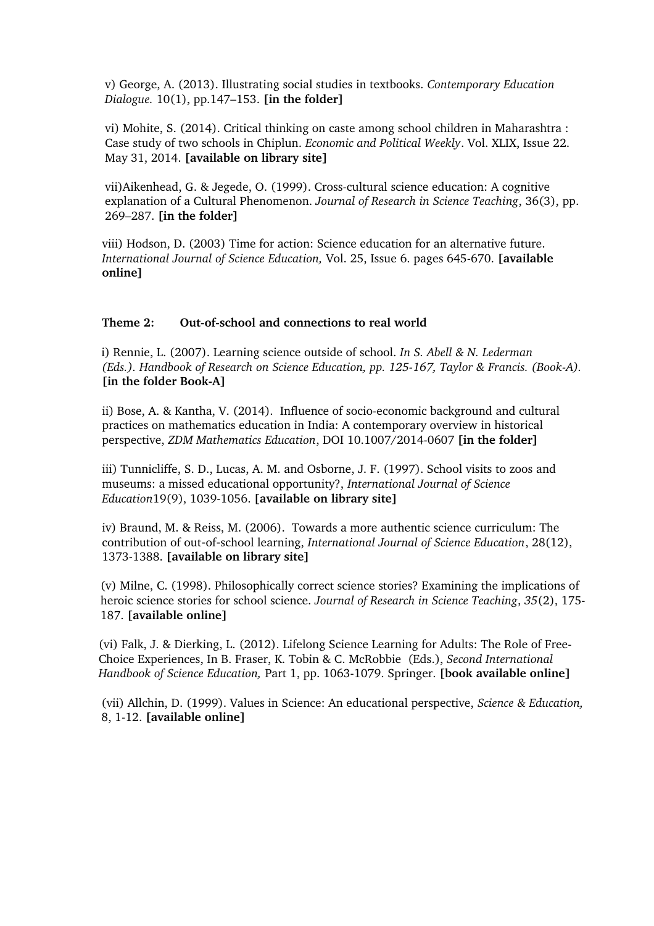v) George, A. (2013). Illustrating social studies in textbooks. *Contemporary Education Dialogue.* 10(1), pp.147–153. **[in the folder]**

vi) Mohite, S. (2014). Critical thinking on caste among school children in Maharashtra : Case study of two schools in Chiplun. *Economic and Political Weekly*. Vol. XLIX, Issue 22. May 31, 2014. **[available on library site]**

vii)Aikenhead, G. & Jegede, O. (1999). Cross-cultural science education: A cognitive explanation of a Cultural Phenomenon. *Journal of Research in Science Teaching*, 36(3), pp. 269–287. **[in the folder]**

viii) Hodson, D. (2003) Time for action: Science education for an alternative future. *International Journal of Science Education, Vol. 25, Issue 6. pages 645-670. [available* **online]**

## Theme 2: Out-of-school and connections to real world

i) Rennie, L. (2007). Learning science outside of school. *In S. Abell & N. Lederman (Eds.). Handbook of Research on Science Education, pp. 125167, Taylor & Francis. (BookA).*  **[in the folder BookA]**

ii) Bose, A. & Kantha, V. (2014). Influence of socio-economic background and cultural practices on mathematics education in India: A contemporary overview in historical perspective, *ZDM Mathematics Education*, *DOI* 10.1007/2014-0607 **[in the folder]** 

iii) Tunnicliffe, S. D., Lucas, A. M. and Osborne, J. F. (1997). School visits to zoos and museums: a missed educational opportunity?, *International Journal of Science Education*19(9), 10391056. **[available on library site]**

iv) Braund, M. & Reiss, M. (2006). Towards a more authentic science curriculum: The contribution of out-of-school learning, *International Journal of Science Education*, 28(12), 1373-1388. [available on library site]

(v) Milne, C. (1998). Philosophically correct science stories? Examining the implications of heroic science stories for school science. *Journal of Research in Science Teaching*, *35*(2), 175 187. **[available online]**

(vi) Falk, J. & Dierking, L. (2012). Lifelong Science Learning for Adults: The Role of Free-Choice Experiences, In B. Fraser, K. Tobin & C. McRobbie (Eds.), *Second International Handbook of Science Education, Part 1, pp. 1063-1079. Springer. [book available online]* 

(vii) Allchin, D. (1999). Values in Science: An educational perspective, *Science & Education,* 8, 112. **[available online]**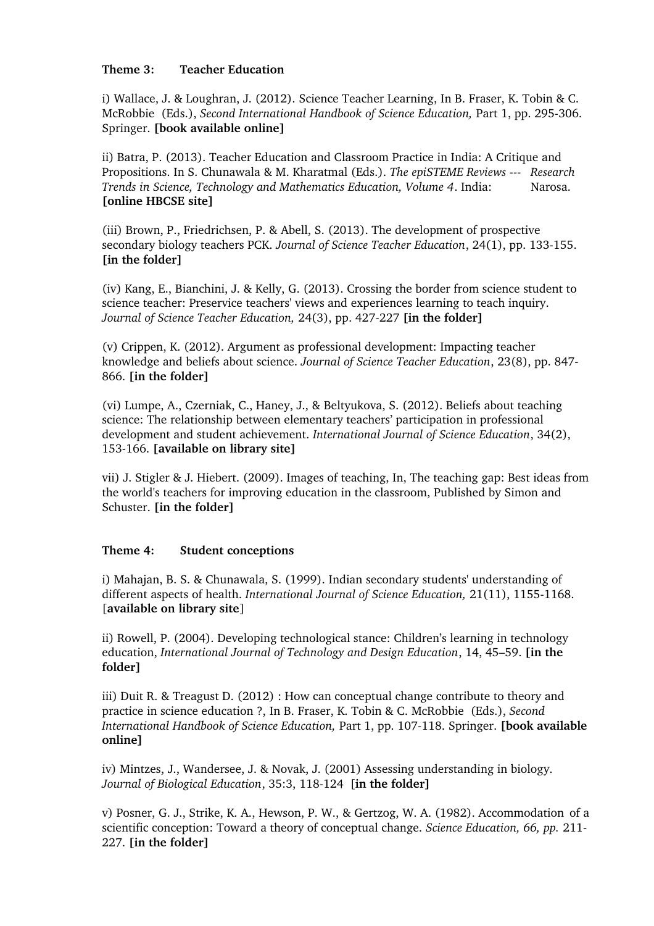### **Theme 3: Teacher Education**

i) Wallace, J. & Loughran, J. (2012). Science Teacher Learning, In B. Fraser, K. Tobin & C. McRobbie (Eds.), *Second International Handbook of Science Education*, Part 1, pp. 295-306. Springer. **[book available online]**

ii) Batra, P. (2013). Teacher Education and Classroom Practice in India: A Critique and Propositions. In S. Chunawala & M. Kharatmal (Eds.). *The epiSTEME Reviews Research Trends in Science, Technology and Mathematics Education, Volume 4*. India: Narosa. **[online HBCSE site]**

(iii) Brown, P., Friedrichsen, P. & Abell, S. (2013). The development of prospective secondary biology teachers PCK. *Journal of Science Teacher Education*, 24(1), pp. 133-155. **[in the folder]**

(iv) Kang, E., Bianchini, J. & Kelly, G. (2013). Crossing the border from science student to science teacher: Preservice teachers' views and experiences learning to teach inquiry. *Journal of Science Teacher Education,* 24(3), pp. 427-227 [in the folder]

(v) Crippen, K. (2012). Argument as professional development: Impacting teacher knowledge and beliefs about science. *Journal of Science Teacher Education*, 23(8), pp. 847 866. **[in the folder]**

(vi) Lumpe, A., Czerniak, C., Haney, J., & Beltyukova, S. (2012). Beliefs about teaching science: The relationship between elementary teachers' participation in professional development and student achievement. *International Journal of Science Education*, 34(2), 153166. **[available on library site]**

vii) J. Stigler & J. Hiebert. (2009). Images of teaching, In, The teaching gap: Best ideas from the world's teachers for improving education in the classroom, Published by Simon and Schuster. **[in the folder]** 

## **Theme 4: Student conceptions**

i) Mahajan, B. S. & Chunawala, S. (1999). Indian secondary students' understanding of different aspects of health. *International Journal of Science Education*, 21(11), 1155-1168. [**available on library site**]

ii) Rowell, P. (2004). Developing technological stance: Children's learning in technology education, *International Journal of Technology and Design Education*, 14, 45–59. **[in the folder]**

iii) Duit R. & Treagust D. (2012) : How can conceptual change contribute to theory and practice in science education ?, In B. Fraser, K. Tobin & C. McRobbie (Eds.), *Second International Handbook of Science Education, Part 1, pp. 107-118. Springer. [book available* **online]**

iv) Mintzes, J., Wandersee, J. & Novak, J. (2001) Assessing understanding in biology. *Journal of Biological Education, 35:3, 118-124* [in the folder]

v) Posner, G. J., Strike, K. A., Hewson, P. W., & Gertzog, W. A. (1982). Accommodation of a scientific conception: Toward a theory of conceptual change. *Science Education, 66, pp.* 211 227. **[in the folder]**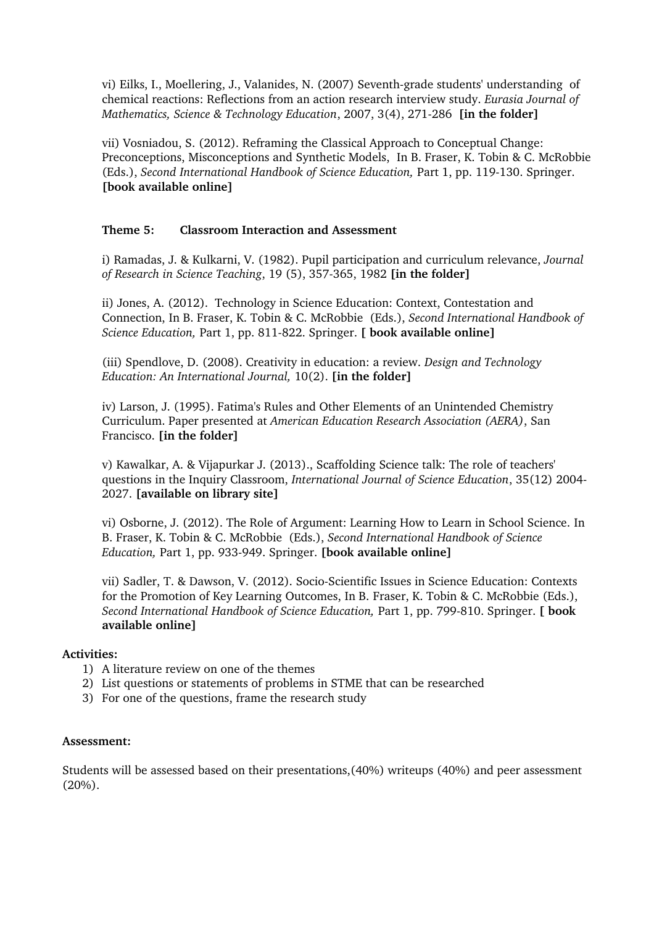vi) Eilks, I., Moellering, J., Valanides, N. (2007) Seventh-grade students' understanding of chemical reactions: Reflections from an action research interview study. *Eurasia Journal of Mathematics, Science & Technology Education, 2007, 3(4), 271-286* [in the folder]

vii) Vosniadou, S. (2012). Reframing the Classical Approach to Conceptual Change: Preconceptions, Misconceptions and Synthetic Models, In B. Fraser, K. Tobin & C. McRobbie (Eds.), *Second International Handbook of Science Education,* Part 1, pp. 119130. Springer. **[book available online]**

### **Theme 5: Classroom Interaction and Assessment**

i) Ramadas, J. & Kulkarni, V. (1982). Pupil participation and curriculum relevance, *Journal of Research in Science Teaching*, 19 (5), 357365, 1982 **[in the folder]**

ii) Jones, A. (2012). Technology in Science Education: Context, Contestation and Connection, In B. Fraser, K. Tobin & C. McRobbie (Eds.), *Second International Handbook of Science Education, Part 1, pp. 811-822. Springer.* **[ book available online]** 

(iii) Spendlove, D. (2008). Creativity in education: a review. *Design and Technology Education: An International Journal,* 10(2). **[in the folder]**

iv) Larson, J. (1995). Fatima's Rules and Other Elements of an Unintended Chemistry Curriculum. Paper presented at *American Education Research Association (AERA)*, San Francisco. **[in the folder]**

v) Kawalkar, A. & Vijapurkar J. (2013)., Scaffolding Science talk: The role of teachers' questions in the Inquiry Classroom, *International Journal of Science Education*, 35(12) 2004 2027. **[available on library site]**

vi) Osborne, J. (2012). The Role of Argument: Learning How to Learn in School Science. In B. Fraser, K. Tobin & C. McRobbie (Eds.), *Second International Handbook of Science Education, Part 1, pp. 933-949. Springer. [book available online]* 

vii) Sadler, T. & Dawson, V. (2012). Socio-Scientific Issues in Science Education: Contexts for the Promotion of Key Learning Outcomes, In B. Fraser, K. Tobin & C. McRobbie (Eds.), *Second International Handbook of Science Education,* Part 1, pp. 799810. Springer. **[ book available online]**

#### **Activities:**

- 1) A literature review on one of the themes
- 2) List questions or statements of problems in STME that can be researched
- 3) For one of the questions, frame the research study

#### **Assessment:**

Students will be assessed based on their presentations,(40%) writeups (40%) and peer assessment (20%).